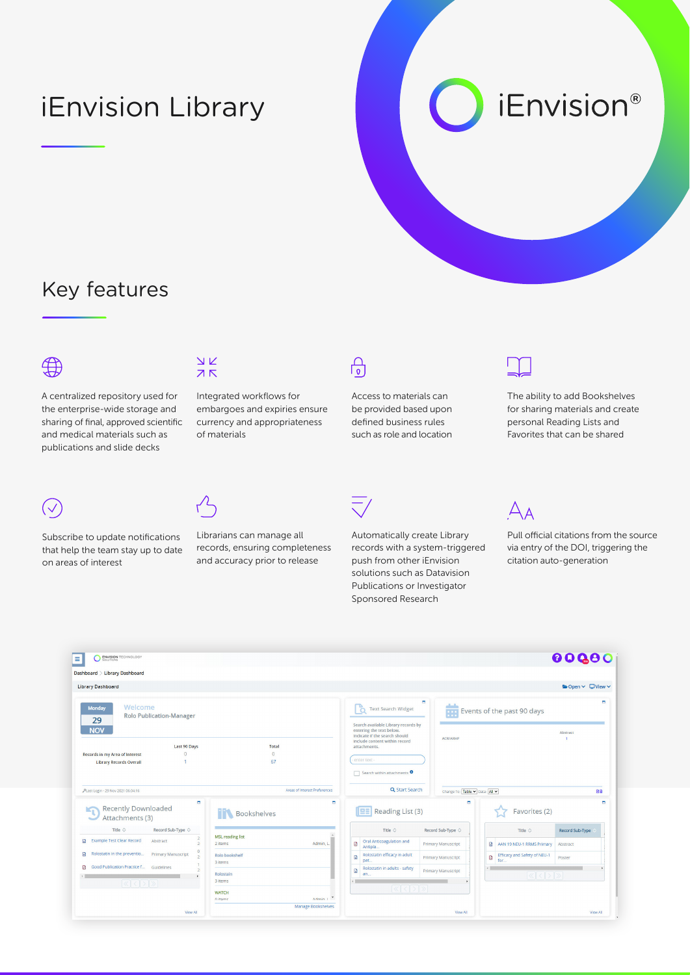# iEnvision Library

*iEnvision®* 

#### Key features



A centralized repository used for the enterprise-wide storage and sharing of final, approved scientific and medical materials such as publications and slide decks



Subscribe to update notifications that help the team stay up to date on areas of interest



Integrated workflows for embargoes and expiries ensure currency and appropriateness of materials



Access to materials can be provided based upon defined business rules such as role and location



The ability to add Bookshelves for sharing materials and create personal Reading Lists and Favorites that can be shared



Librarians can manage all records, ensuring completeness and accuracy prior to release



Automatically create Library records with a system-triggered push from other iEnvision solutions such as Datavision Publications or Investigator Sponsored Research



Pull official citations from the source via entry of the DOI, triggering the citation auto-generation

| <b>ENVISION TECHNOLOGY</b><br>LITIONS                                                                                                     |                                                 |                                                                                                                                                      | 00000                                                                                |
|-------------------------------------------------------------------------------------------------------------------------------------------|-------------------------------------------------|------------------------------------------------------------------------------------------------------------------------------------------------------|--------------------------------------------------------------------------------------|
| Dashboard > Library Dashboard                                                                                                             |                                                 |                                                                                                                                                      |                                                                                      |
| <b>Library Dashboard</b>                                                                                                                  |                                                 |                                                                                                                                                      | ■ Open v ■ View v                                                                    |
| Welcome<br><b>Monday</b><br><b>Rolo Publication-Manager</b><br>29                                                                         |                                                 | ۰<br><b>Text Search Widget</b><br><b>Events of the past 90 days</b><br>O                                                                             |                                                                                      |
| <b>NOV</b>                                                                                                                                |                                                 | Search available Library records by<br>entering the text below.<br>Indicate if the search should<br><b>ACR/ARHP</b><br>include content within record | <b>Abstract</b>                                                                      |
| <b>Last 90 Days</b><br>$\theta$<br>Records in my Area of Interest<br><b>Library Records Overall</b>                                       | <b>Total</b><br>$\theta$<br>67                  | attachments.<br>enter text                                                                                                                           |                                                                                      |
|                                                                                                                                           |                                                 | Search within attachments <sup>O</sup>                                                                                                               |                                                                                      |
| ALast Login - 29 Nov 2021 06:04:16                                                                                                        | Areas of Interest Preferences                   | Q Start Search<br>Change To: Table v Data: All v                                                                                                     | 09                                                                                   |
| $\blacksquare$<br><b>Recently Downloaded</b><br>$K_{\Gamma}$<br>Attachments (3)                                                           | ۰<br><b>THE Bookshelves</b>                     | $\blacksquare$<br>Reading List (3)<br>œ                                                                                                              | $\blacksquare$<br>Favorites (2)                                                      |
| Record Sub-Type $\Diamond$<br>Title $\Diamond$                                                                                            |                                                 | Title $\circ$<br>Record Sub-Type $\Diamond$                                                                                                          | Title $\circ$<br><b>Record Sub-Type</b>                                              |
| $\overline{a}$<br><b>Example Test Clear Record</b><br><b>D</b><br>Abstract<br>$\overline{2}$                                              | <b>MSL reading list</b><br>Admin, L.<br>2 items | <b>Oral Anticoagulation and</b><br>$\blacksquare$<br><b>Primary Manuscript</b><br>Antipla.                                                           | G<br>AAN 19 NEU-1 RRMS Primary<br>Abstract                                           |
| $\overline{0}$<br>G<br>Rolostatin in the preventio<br><b>Primary Manuscript</b><br>$\overline{2}$                                         | Rolo bookshelf                                  | Rolostatin efficacy in adult<br>G<br><b>Primary Manuscript</b><br>pat                                                                                | Efficacy and Safety of NEU-1<br>ø<br>Poster<br>for                                   |
|                                                                                                                                           | 3 Items                                         | Rolostatin in adults - safety                                                                                                                        |                                                                                      |
| Good Publication Practice f<br>Guidelines                                                                                                 |                                                 | $\blacksquare$<br><b>Primary Manuscript</b>                                                                                                          |                                                                                      |
| ø<br>$\boxed{\left \langle \left \langle \right \vert \left \langle \right \vert \right \rangle \left \vert \right \rangle \right \vert}$ | Rolostain<br>3 Items                            | an.                                                                                                                                                  | $\left \left\langle \left  \left\langle \right  \right\rangle \right  \right\rangle$ |
|                                                                                                                                           | <b>WATCH</b><br>Admin 1<br>n itame              | $ \langle  \cdot  \rangle$                                                                                                                           |                                                                                      |